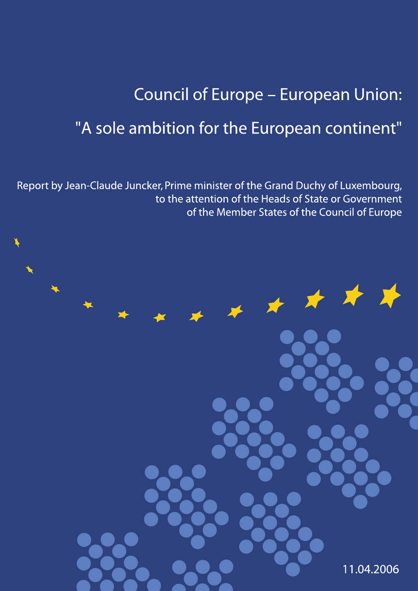# **Council of Europe - European Union:** "A sole ambition for the European continent"

Report by Jean-Claude Juncker, Prime minister of the Grand Duchy of Luxembourg, to the attention of the Heads of State or Government of the Member States of the Council of Europe

11.04.2006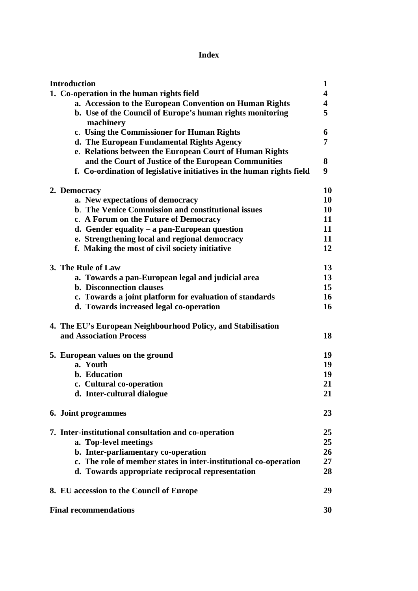# **Index**

| <b>Introduction</b>                                                    | 1                       |
|------------------------------------------------------------------------|-------------------------|
| 1. Co-operation in the human rights field                              | $\overline{\mathbf{4}}$ |
| a. Accession to the European Convention on Human Rights                | 4                       |
| b. Use of the Council of Europe's human rights monitoring<br>machinery | 5                       |
| c. Using the Commissioner for Human Rights                             | 6                       |
| d. The European Fundamental Rights Agency                              | 7                       |
| e. Relations between the European Court of Human Rights                |                         |
| and the Court of Justice of the European Communities                   | 8                       |
| f. Co-ordination of legislative initiatives in the human rights field  | 9                       |
| 2. Democracy                                                           | <b>10</b>               |
| a. New expectations of democracy                                       | 10                      |
| b. The Venice Commission and constitutional issues                     | <b>10</b>               |
| c. A Forum on the Future of Democracy                                  | 11                      |
| d. Gender equality – a pan-European question                           | 11                      |
| e. Strengthening local and regional democracy                          | 11                      |
| f. Making the most of civil society initiative                         | 12                      |
| 3. The Rule of Law                                                     | 13                      |
| a. Towards a pan-European legal and judicial area                      | 13                      |
| <b>b.</b> Disconnection clauses                                        | 15                      |
| c. Towards a joint platform for evaluation of standards                | 16                      |
| d. Towards increased legal co-operation                                | 16                      |
| 4. The EU's European Neighbourhood Policy, and Stabilisation           |                         |
| and Association Process                                                | 18                      |
| 5. European values on the ground                                       | 19                      |
| a. Youth                                                               | 19                      |
| b. Education                                                           | 19                      |
| c. Cultural co-operation                                               | 21                      |
| d. Inter-cultural dialogue                                             | 21                      |
| 6. Joint programmes                                                    | 23                      |
| 7. Inter-institutional consultation and co-operation                   | 25                      |
| a. Top-level meetings                                                  | 25                      |
| b. Inter-parliamentary co-operation                                    | 26                      |
| c. The role of member states in inter-institutional co-operation       | 27                      |
| d. Towards appropriate reciprocal representation                       | 28                      |
| 8. EU accession to the Council of Europe                               | 29                      |
| <b>Final recommendations</b>                                           | 30                      |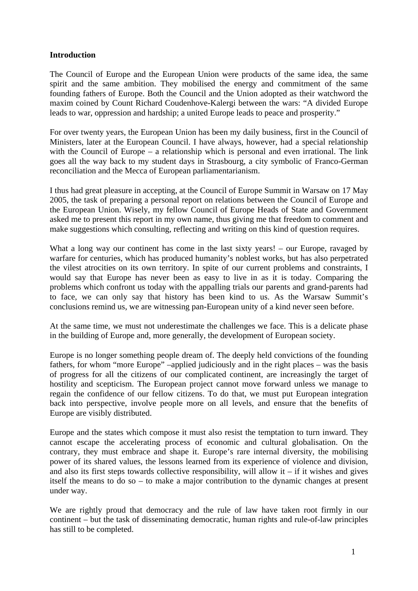#### **Introduction**

The Council of Europe and the European Union were products of the same idea, the same spirit and the same ambition. They mobilised the energy and commitment of the same founding fathers of Europe. Both the Council and the Union adopted as their watchword the maxim coined by Count Richard Coudenhove-Kalergi between the wars: "A divided Europe leads to war, oppression and hardship; a united Europe leads to peace and prosperity."

For over twenty years, the European Union has been my daily business, first in the Council of Ministers, later at the European Council. I have always, however, had a special relationship with the Council of Europe – a relationship which is personal and even irrational. The link goes all the way back to my student days in Strasbourg, a city symbolic of Franco-German reconciliation and the Mecca of European parliamentarianism.

I thus had great pleasure in accepting, at the Council of Europe Summit in Warsaw on 17 May 2005, the task of preparing a personal report on relations between the Council of Europe and the European Union. Wisely, my fellow Council of Europe Heads of State and Government asked me to present this report in my own name, thus giving me that freedom to comment and make suggestions which consulting, reflecting and writing on this kind of question requires.

What a long way our continent has come in the last sixty years! – our Europe, ravaged by warfare for centuries, which has produced humanity's noblest works, but has also perpetrated the vilest atrocities on its own territory. In spite of our current problems and constraints, I would say that Europe has never been as easy to live in as it is today. Comparing the problems which confront us today with the appalling trials our parents and grand-parents had to face, we can only say that history has been kind to us. As the Warsaw Summit's conclusions remind us, we are witnessing pan-European unity of a kind never seen before.

At the same time, we must not underestimate the challenges we face. This is a delicate phase in the building of Europe and, more generally, the development of European society.

Europe is no longer something people dream of. The deeply held convictions of the founding fathers, for whom "more Europe" –applied judiciously and in the right places – was the basis of progress for all the citizens of our complicated continent, are increasingly the target of hostility and scepticism. The European project cannot move forward unless we manage to regain the confidence of our fellow citizens. To do that, we must put European integration back into perspective, involve people more on all levels, and ensure that the benefits of Europe are visibly distributed.

Europe and the states which compose it must also resist the temptation to turn inward. They cannot escape the accelerating process of economic and cultural globalisation. On the contrary, they must embrace and shape it. Europe's rare internal diversity, the mobilising power of its shared values, the lessons learned from its experience of violence and division, and also its first steps towards collective responsibility, will allow it  $-$  if it wishes and gives itself the means to do so – to make a major contribution to the dynamic changes at present under way.

We are rightly proud that democracy and the rule of law have taken root firmly in our continent – but the task of disseminating democratic, human rights and rule-of-law principles has still to be completed.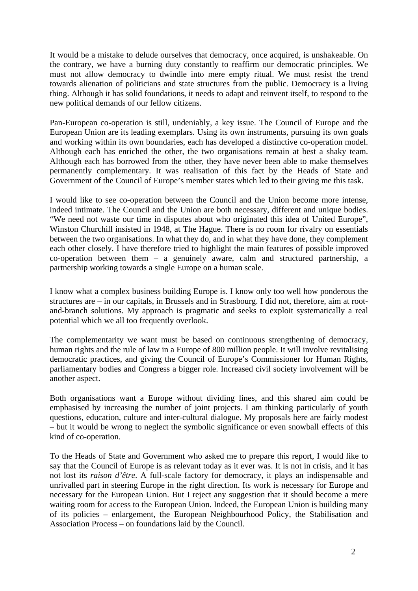It would be a mistake to delude ourselves that democracy, once acquired, is unshakeable. On the contrary, we have a burning duty constantly to reaffirm our democratic principles. We must not allow democracy to dwindle into mere empty ritual. We must resist the trend towards alienation of politicians and state structures from the public. Democracy is a living thing. Although it has solid foundations, it needs to adapt and reinvent itself, to respond to the new political demands of our fellow citizens.

Pan-European co-operation is still, undeniably, a key issue. The Council of Europe and the European Union are its leading exemplars. Using its own instruments, pursuing its own goals and working within its own boundaries, each has developed a distinctive co-operation model. Although each has enriched the other, the two organisations remain at best a shaky team. Although each has borrowed from the other, they have never been able to make themselves permanently complementary. It was realisation of this fact by the Heads of State and Government of the Council of Europe's member states which led to their giving me this task.

I would like to see co-operation between the Council and the Union become more intense, indeed intimate. The Council and the Union are both necessary, different and unique bodies. "We need not waste our time in disputes about who originated this idea of United Europe", Winston Churchill insisted in 1948, at The Hague. There is no room for rivalry on essentials between the two organisations. In what they do, and in what they have done, they complement each other closely. I have therefore tried to highlight the main features of possible improved co-operation between them – a genuinely aware, calm and structured partnership, a partnership working towards a single Europe on a human scale.

I know what a complex business building Europe is. I know only too well how ponderous the structures are – in our capitals, in Brussels and in Strasbourg. I did not, therefore, aim at rootand-branch solutions. My approach is pragmatic and seeks to exploit systematically a real potential which we all too frequently overlook.

The complementarity we want must be based on continuous strengthening of democracy, human rights and the rule of law in a Europe of 800 million people. It will involve revitalising democratic practices, and giving the Council of Europe's Commissioner for Human Rights, parliamentary bodies and Congress a bigger role. Increased civil society involvement will be another aspect.

Both organisations want a Europe without dividing lines, and this shared aim could be emphasised by increasing the number of joint projects. I am thinking particularly of youth questions, education, culture and inter-cultural dialogue. My proposals here are fairly modest – but it would be wrong to neglect the symbolic significance or even snowball effects of this kind of co-operation.

To the Heads of State and Government who asked me to prepare this report, I would like to say that the Council of Europe is as relevant today as it ever was. It is not in crisis, and it has not lost its *raison d'être*. A full-scale factory for democracy, it plays an indispensable and unrivalled part in steering Europe in the right direction. Its work is necessary for Europe and necessary for the European Union. But I reject any suggestion that it should become a mere waiting room for access to the European Union. Indeed, the European Union is building many of its policies – enlargement, the European Neighbourhood Policy, the Stabilisation and Association Process – on foundations laid by the Council.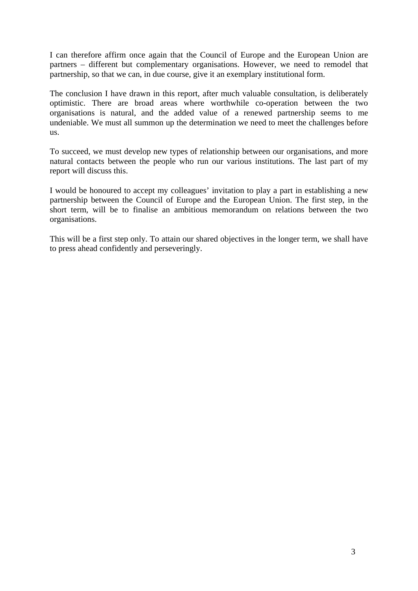I can therefore affirm once again that the Council of Europe and the European Union are partners – different but complementary organisations. However, we need to remodel that partnership, so that we can, in due course, give it an exemplary institutional form.

The conclusion I have drawn in this report, after much valuable consultation, is deliberately optimistic. There are broad areas where worthwhile co-operation between the two organisations is natural, and the added value of a renewed partnership seems to me undeniable. We must all summon up the determination we need to meet the challenges before us.

To succeed, we must develop new types of relationship between our organisations, and more natural contacts between the people who run our various institutions. The last part of my report will discuss this.

I would be honoured to accept my colleagues' invitation to play a part in establishing a new partnership between the Council of Europe and the European Union. The first step, in the short term, will be to finalise an ambitious memorandum on relations between the two organisations.

This will be a first step only. To attain our shared objectives in the longer term, we shall have to press ahead confidently and perseveringly.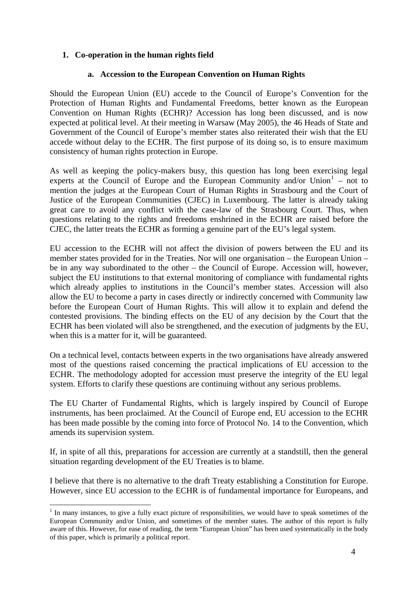# **1. Co-operation in the human rights field**

### **a. Accession to the European Convention on Human Rights**

Should the European Union (EU) accede to the Council of Europe's Convention for the Protection of Human Rights and Fundamental Freedoms, better known as the European Convention on Human Rights (ECHR)? Accession has long been discussed, and is now expected at political level. At their meeting in Warsaw (May 2005), the 46 Heads of State and Government of the Council of Europe's member states also reiterated their wish that the EU accede without delay to the ECHR. The first purpose of its doing so, is to ensure maximum consistency of human rights protection in Europe.

As well as keeping the policy-makers busy, this question has long been exercising legal experts at the Council of Europe and the European Community and/or  $Union<sup>1</sup> - not to$  $Union<sup>1</sup> - not to$  $Union<sup>1</sup> - not to$ mention the judges at the European Court of Human Rights in Strasbourg and the Court of Justice of the European Communities (CJEC) in Luxembourg. The latter is already taking great care to avoid any conflict with the case-law of the Strasbourg Court. Thus, when questions relating to the rights and freedoms enshrined in the ECHR are raised before the CJEC, the latter treats the ECHR as forming a genuine part of the EU's legal system.

EU accession to the ECHR will not affect the division of powers between the EU and its member states provided for in the Treaties. Nor will one organisation – the European Union – be in any way subordinated to the other – the Council of Europe. Accession will, however, subject the EU institutions to that external monitoring of compliance with fundamental rights which already applies to institutions in the Council's member states. Accession will also allow the EU to become a party in cases directly or indirectly concerned with Community law before the European Court of Human Rights. This will allow it to explain and defend the contested provisions. The binding effects on the EU of any decision by the Court that the ECHR has been violated will also be strengthened, and the execution of judgments by the EU, when this is a matter for it, will be guaranteed.

On a technical level, contacts between experts in the two organisations have already answered most of the questions raised concerning the practical implications of EU accession to the ECHR. The methodology adopted for accession must preserve the integrity of the EU legal system. Efforts to clarify these questions are continuing without any serious problems.

The EU Charter of Fundamental Rights, which is largely inspired by Council of Europe instruments, has been proclaimed. At the Council of Europe end, EU accession to the ECHR has been made possible by the coming into force of Protocol No. 14 to the Convention, which amends its supervision system.

If, in spite of all this, preparations for accession are currently at a standstill, then the general situation regarding development of the EU Treaties is to blame.

I believe that there is no alternative to the draft Treaty establishing a Constitution for Europe. However, since EU accession to the ECHR is of fundamental importance for Europeans, and

1

<span id="page-6-0"></span><sup>&</sup>lt;sup>1</sup> In many instances, to give a fully exact picture of responsibilities, we would have to speak sometimes of the European Community and/or Union, and sometimes of the member states. The author of this report is fully aware of this. However, for ease of reading, the term "European Union" has been used systematically in the body of this paper, which is primarily a political report.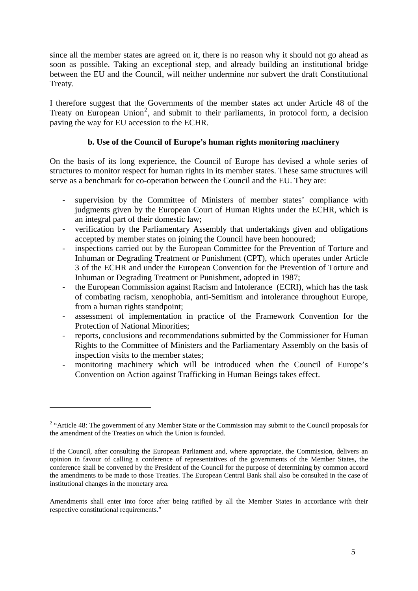since all the member states are agreed on it, there is no reason why it should not go ahead as soon as possible. Taking an exceptional step, and already building an institutional bridge between the EU and the Council, will neither undermine nor subvert the draft Constitutional Treaty.

I therefore suggest that the Governments of the member states act under Article 48 of the Treaty on European Union<sup>[2](#page-7-0)</sup>, and submit to their parliaments, in protocol form, a decision paving the way for EU accession to the ECHR.

# **b. Use of the Council of Europe's human rights monitoring machinery**

On the basis of its long experience, the Council of Europe has devised a whole series of structures to monitor respect for human rights in its member states. These same structures will serve as a benchmark for co-operation between the Council and the EU. They are:

- supervision by the Committee of Ministers of member states' compliance with judgments given by the European Court of Human Rights under the ECHR, which is an integral part of their domestic law;
- verification by the Parliamentary Assembly that undertakings given and obligations accepted by member states on joining the Council have been honoured;
- inspections carried out by the European Committee for the Prevention of Torture and Inhuman or Degrading Treatment or Punishment (CPT), which operates under Article 3 of the ECHR and under the European Convention for the Prevention of Torture and Inhuman or Degrading Treatment or Punishment, adopted in 1987;
- the European Commission against Racism and Intolerance (ECRI), which has the task of combating racism, xenophobia, anti-Semitism and intolerance throughout Europe, from a human rights standpoint;
- assessment of implementation in practice of the Framework Convention for the Protection of National Minorities;
- reports, conclusions and recommendations submitted by the Commissioner for Human Rights to the Committee of Ministers and the Parliamentary Assembly on the basis of inspection visits to the member states;
- monitoring machinery which will be introduced when the Council of Europe's Convention on Action against Trafficking in Human Beings takes effect.

<u>.</u>

<span id="page-7-0"></span><sup>&</sup>lt;sup>2</sup> "Article 48: The government of any Member State or the Commission may submit to the Council proposals for the amendment of the Treaties on which the Union is founded.

If the Council, after consulting the European Parliament and, where appropriate, the Commission, delivers an opinion in favour of calling a conference of representatives of the governments of the Member States, the conference shall be convened by the President of the Council for the purpose of determining by common accord the amendments to be made to those Treaties. The European Central Bank shall also be consulted in the case of institutional changes in the monetary area.

Amendments shall enter into force after being ratified by all the Member States in accordance with their respective constitutional requirements."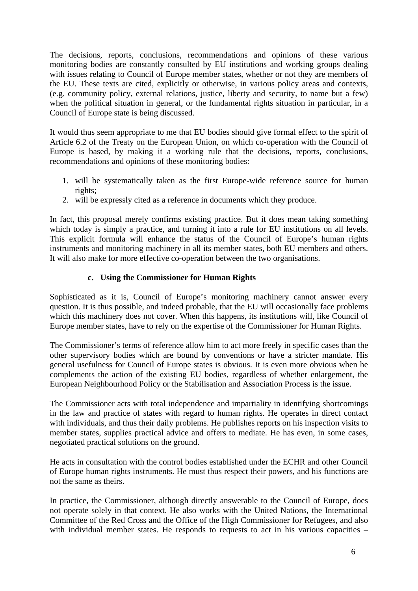The decisions, reports, conclusions, recommendations and opinions of these various monitoring bodies are constantly consulted by EU institutions and working groups dealing with issues relating to Council of Europe member states, whether or not they are members of the EU. These texts are cited, explicitly or otherwise, in various policy areas and contexts, (e.g. community policy, external relations, justice, liberty and security, to name but a few) when the political situation in general, or the fundamental rights situation in particular, in a Council of Europe state is being discussed.

It would thus seem appropriate to me that EU bodies should give formal effect to the spirit of Article 6.2 of the Treaty on the European Union, on which co-operation with the Council of Europe is based, by making it a working rule that the decisions, reports, conclusions, recommendations and opinions of these monitoring bodies:

- 1. will be systematically taken as the first Europe-wide reference source for human rights;
- 2. will be expressly cited as a reference in documents which they produce.

In fact, this proposal merely confirms existing practice. But it does mean taking something which today is simply a practice, and turning it into a rule for EU institutions on all levels. This explicit formula will enhance the status of the Council of Europe's human rights instruments and monitoring machinery in all its member states, both EU members and others. It will also make for more effective co-operation between the two organisations.

# **c. Using the Commissioner for Human Rights**

Sophisticated as it is, Council of Europe's monitoring machinery cannot answer every question. It is thus possible, and indeed probable, that the EU will occasionally face problems which this machinery does not cover. When this happens, its institutions will, like Council of Europe member states, have to rely on the expertise of the Commissioner for Human Rights.

The Commissioner's terms of reference allow him to act more freely in specific cases than the other supervisory bodies which are bound by conventions or have a stricter mandate. His general usefulness for Council of Europe states is obvious. It is even more obvious when he complements the action of the existing EU bodies, regardless of whether enlargement, the European Neighbourhood Policy or the Stabilisation and Association Process is the issue.

The Commissioner acts with total independence and impartiality in identifying shortcomings in the law and practice of states with regard to human rights. He operates in direct contact with individuals, and thus their daily problems. He publishes reports on his inspection visits to member states, supplies practical advice and offers to mediate. He has even, in some cases, negotiated practical solutions on the ground.

He acts in consultation with the control bodies established under the ECHR and other Council of Europe human rights instruments. He must thus respect their powers, and his functions are not the same as theirs.

In practice, the Commissioner, although directly answerable to the Council of Europe, does not operate solely in that context. He also works with the United Nations, the International Committee of the Red Cross and the Office of the High Commissioner for Refugees, and also with individual member states. He responds to requests to act in his various capacities –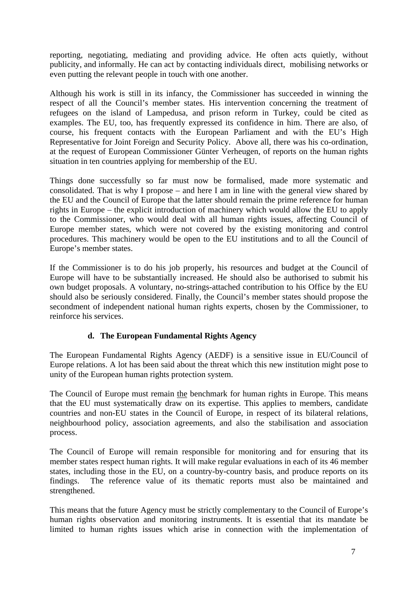reporting, negotiating, mediating and providing advice. He often acts quietly, without publicity, and informally. He can act by contacting individuals direct, mobilising networks or even putting the relevant people in touch with one another.

Although his work is still in its infancy, the Commissioner has succeeded in winning the respect of all the Council's member states. His intervention concerning the treatment of refugees on the island of Lampedusa, and prison reform in Turkey, could be cited as examples. The EU, too, has frequently expressed its confidence in him. There are also, of course, his frequent contacts with the European Parliament and with the EU's High Representative for Joint Foreign and Security Policy. Above all, there was his co-ordination, at the request of European Commissioner Günter Verheugen, of reports on the human rights situation in ten countries applying for membership of the EU.

Things done successfully so far must now be formalised, made more systematic and consolidated. That is why I propose – and here I am in line with the general view shared by the EU and the Council of Europe that the latter should remain the prime reference for human rights in Europe – the explicit introduction of machinery which would allow the EU to apply to the Commissioner, who would deal with all human rights issues, affecting Council of Europe member states, which were not covered by the existing monitoring and control procedures. This machinery would be open to the EU institutions and to all the Council of Europe's member states.

If the Commissioner is to do his job properly, his resources and budget at the Council of Europe will have to be substantially increased. He should also be authorised to submit his own budget proposals. A voluntary, no-strings-attached contribution to his Office by the EU should also be seriously considered. Finally, the Council's member states should propose the secondment of independent national human rights experts, chosen by the Commissioner, to reinforce his services.

# **d. The European Fundamental Rights Agency**

The European Fundamental Rights Agency (AEDF) is a sensitive issue in EU/Council of Europe relations. A lot has been said about the threat which this new institution might pose to unity of the European human rights protection system.

The Council of Europe must remain the benchmark for human rights in Europe. This means that the EU must systematically draw on its expertise. This applies to members, candidate countries and non-EU states in the Council of Europe, in respect of its bilateral relations, neighbourhood policy, association agreements, and also the stabilisation and association process.

The Council of Europe will remain responsible for monitoring and for ensuring that its member states respect human rights. It will make regular evaluations in each of its 46 member states, including those in the EU, on a country-by-country basis, and produce reports on its findings. The reference value of its thematic reports must also be maintained and strengthened.

This means that the future Agency must be strictly complementary to the Council of Europe's human rights observation and monitoring instruments. It is essential that its mandate be limited to human rights issues which arise in connection with the implementation of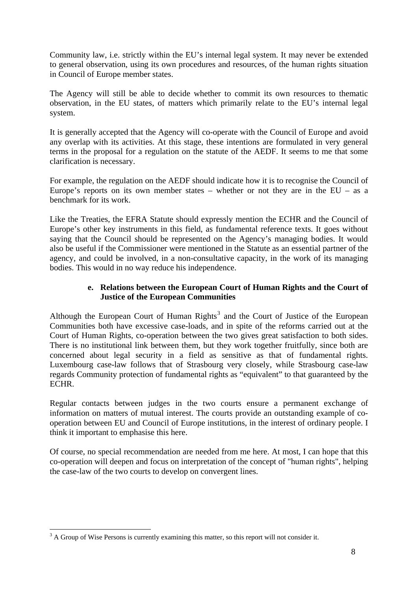Community law, i.e. strictly within the EU's internal legal system. It may never be extended to general observation, using its own procedures and resources, of the human rights situation in Council of Europe member states.

The Agency will still be able to decide whether to commit its own resources to thematic observation, in the EU states, of matters which primarily relate to the EU's internal legal system.

It is generally accepted that the Agency will co-operate with the Council of Europe and avoid any overlap with its activities. At this stage, these intentions are formulated in very general terms in the proposal for a regulation on the statute of the AEDF. It seems to me that some clarification is necessary.

For example, the regulation on the AEDF should indicate how it is to recognise the Council of Europe's reports on its own member states – whether or not they are in the  $EU - as a$ benchmark for its work.

Like the Treaties, the EFRA Statute should expressly mention the ECHR and the Council of Europe's other key instruments in this field, as fundamental reference texts. It goes without saying that the Council should be represented on the Agency's managing bodies. It would also be useful if the Commissioner were mentioned in the Statute as an essential partner of the agency, and could be involved, in a non-consultative capacity, in the work of its managing bodies. This would in no way reduce his independence.

# **e. Relations between the European Court of Human Rights and the Court of Justice of the European Communities**

Although the European Court of Human Rights<sup>[3](#page-10-0)</sup> and the Court of Justice of the European Communities both have excessive case-loads, and in spite of the reforms carried out at the Court of Human Rights, co-operation between the two gives great satisfaction to both sides. There is no institutional link between them, but they work together fruitfully, since both are concerned about legal security in a field as sensitive as that of fundamental rights. Luxembourg case-law follows that of Strasbourg very closely, while Strasbourg case-law regards Community protection of fundamental rights as "equivalent" to that guaranteed by the ECHR.

Regular contacts between judges in the two courts ensure a permanent exchange of information on matters of mutual interest. The courts provide an outstanding example of cooperation between EU and Council of Europe institutions, in the interest of ordinary people. I think it important to emphasise this here.

Of course, no special recommendation are needed from me here. At most, I can hope that this co-operation will deepen and focus on interpretation of the concept of "human rights", helping the case-law of the two courts to develop on convergent lines.

<span id="page-10-0"></span><sup>1</sup>  $3$  A Group of Wise Persons is currently examining this matter, so this report will not consider it.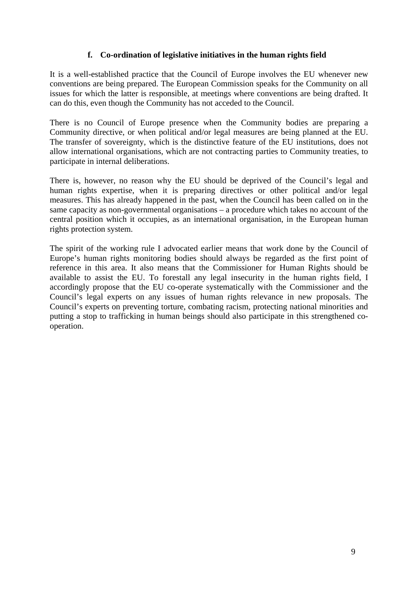# **f. Co-ordination of legislative initiatives in the human rights field**

It is a well-established practice that the Council of Europe involves the EU whenever new conventions are being prepared. The European Commission speaks for the Community on all issues for which the latter is responsible, at meetings where conventions are being drafted. It can do this, even though the Community has not acceded to the Council.

There is no Council of Europe presence when the Community bodies are preparing a Community directive, or when political and/or legal measures are being planned at the EU. The transfer of sovereignty, which is the distinctive feature of the EU institutions, does not allow international organisations, which are not contracting parties to Community treaties, to participate in internal deliberations.

There is, however, no reason why the EU should be deprived of the Council's legal and human rights expertise, when it is preparing directives or other political and/or legal measures. This has already happened in the past, when the Council has been called on in the same capacity as non-governmental organisations – a procedure which takes no account of the central position which it occupies, as an international organisation, in the European human rights protection system.

The spirit of the working rule I advocated earlier means that work done by the Council of Europe's human rights monitoring bodies should always be regarded as the first point of reference in this area. It also means that the Commissioner for Human Rights should be available to assist the EU. To forestall any legal insecurity in the human rights field, I accordingly propose that the EU co-operate systematically with the Commissioner and the Council's legal experts on any issues of human rights relevance in new proposals. The Council's experts on preventing torture, combating racism, protecting national minorities and putting a stop to trafficking in human beings should also participate in this strengthened cooperation.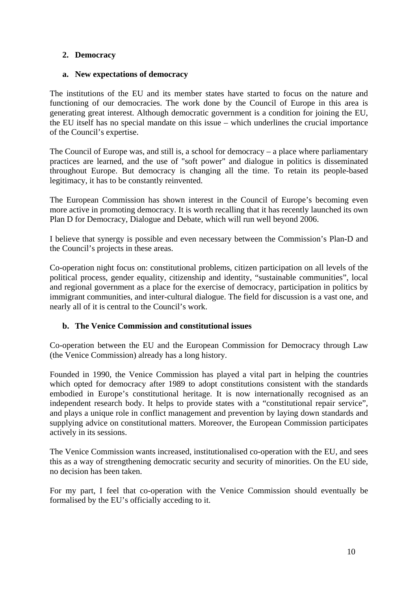# **2. Democracy**

#### **a. New expectations of democracy**

The institutions of the EU and its member states have started to focus on the nature and functioning of our democracies. The work done by the Council of Europe in this area is generating great interest. Although democratic government is a condition for joining the EU, the EU itself has no special mandate on this issue – which underlines the crucial importance of the Council's expertise.

The Council of Europe was, and still is, a school for democracy – a place where parliamentary practices are learned, and the use of "soft power" and dialogue in politics is disseminated throughout Europe. But democracy is changing all the time. To retain its people-based legitimacy, it has to be constantly reinvented.

The European Commission has shown interest in the Council of Europe's becoming even more active in promoting democracy. It is worth recalling that it has recently launched its own Plan D for Democracy, Dialogue and Debate, which will run well beyond 2006.

I believe that synergy is possible and even necessary between the Commission's Plan-D and the Council's projects in these areas.

Co-operation night focus on: constitutional problems, citizen participation on all levels of the political process, gender equality, citizenship and identity, "sustainable communities", local and regional government as a place for the exercise of democracy, participation in politics by immigrant communities, and inter-cultural dialogue. The field for discussion is a vast one, and nearly all of it is central to the Council's work.

#### **b. The Venice Commission and constitutional issues**

Co-operation between the EU and the European Commission for Democracy through Law (the Venice Commission) already has a long history.

Founded in 1990, the Venice Commission has played a vital part in helping the countries which opted for democracy after 1989 to adopt constitutions consistent with the standards embodied in Europe's constitutional heritage. It is now internationally recognised as an independent research body. It helps to provide states with a "constitutional repair service", and plays a unique role in conflict management and prevention by laying down standards and supplying advice on constitutional matters. Moreover, the European Commission participates actively in its sessions.

The Venice Commission wants increased, institutionalised co-operation with the EU, and sees this as a way of strengthening democratic security and security of minorities. On the EU side, no decision has been taken.

For my part, I feel that co-operation with the Venice Commission should eventually be formalised by the EU's officially acceding to it.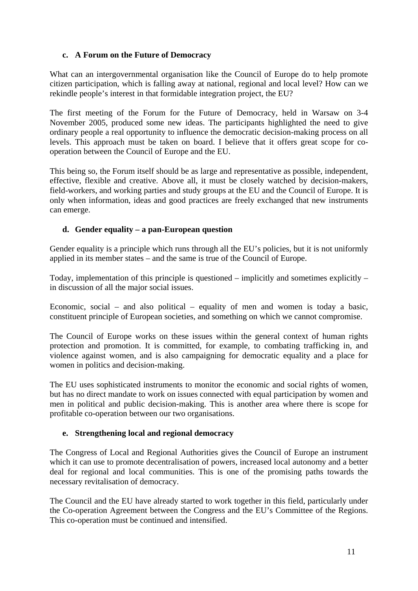# **c. A Forum on the Future of Democracy**

What can an intergovernmental organisation like the Council of Europe do to help promote citizen participation, which is falling away at national, regional and local level? How can we rekindle people's interest in that formidable integration project, the EU?

The first meeting of the Forum for the Future of Democracy, held in Warsaw on 3-4 November 2005, produced some new ideas. The participants highlighted the need to give ordinary people a real opportunity to influence the democratic decision-making process on all levels. This approach must be taken on board. I believe that it offers great scope for cooperation between the Council of Europe and the EU.

This being so, the Forum itself should be as large and representative as possible, independent, effective, flexible and creative. Above all, it must be closely watched by decision-makers, field-workers, and working parties and study groups at the EU and the Council of Europe. It is only when information, ideas and good practices are freely exchanged that new instruments can emerge.

# **d. Gender equality – a pan-European question**

Gender equality is a principle which runs through all the EU's policies, but it is not uniformly applied in its member states – and the same is true of the Council of Europe.

Today, implementation of this principle is questioned – implicitly and sometimes explicitly – in discussion of all the major social issues.

Economic, social – and also political – equality of men and women is today a basic, constituent principle of European societies, and something on which we cannot compromise.

The Council of Europe works on these issues within the general context of human rights protection and promotion. It is committed, for example, to combating trafficking in, and violence against women, and is also campaigning for democratic equality and a place for women in politics and decision-making.

The EU uses sophisticated instruments to monitor the economic and social rights of women, but has no direct mandate to work on issues connected with equal participation by women and men in political and public decision-making. This is another area where there is scope for profitable co-operation between our two organisations.

# **e. Strengthening local and regional democracy**

The Congress of Local and Regional Authorities gives the Council of Europe an instrument which it can use to promote decentralisation of powers, increased local autonomy and a better deal for regional and local communities. This is one of the promising paths towards the necessary revitalisation of democracy.

The Council and the EU have already started to work together in this field, particularly under the Co-operation Agreement between the Congress and the EU's Committee of the Regions. This co-operation must be continued and intensified.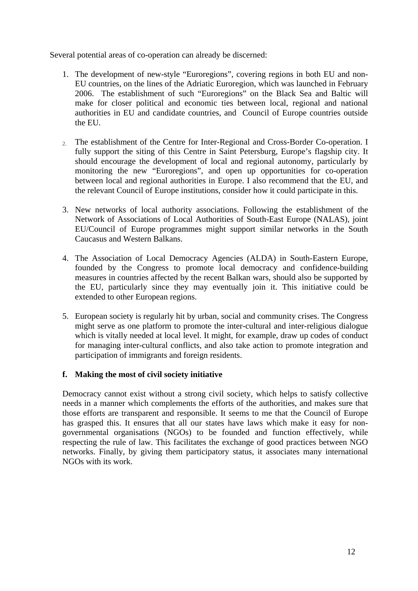Several potential areas of co-operation can already be discerned:

- 1. The development of new-style "Euroregions", covering regions in both EU and non-EU countries, on the lines of the Adriatic Euroregion, which was launched in February 2006. The establishment of such "Euroregions" on the Black Sea and Baltic will make for closer political and economic ties between local, regional and national authorities in EU and candidate countries, and Council of Europe countries outside the EU.
- 2. The establishment of the Centre for Inter-Regional and Cross-Border Co-operation. I fully support the siting of this Centre in Saint Petersburg, Europe's flagship city. It should encourage the development of local and regional autonomy, particularly by monitoring the new "Euroregions", and open up opportunities for co-operation between local and regional authorities in Europe. I also recommend that the EU, and the relevant Council of Europe institutions, consider how it could participate in this.
- 3. New networks of local authority associations. Following the establishment of the Network of Associations of Local Authorities of South-East Europe (NALAS), joint EU/Council of Europe programmes might support similar networks in the South Caucasus and Western Balkans.
- 4. The Association of Local Democracy Agencies (ALDA) in South-Eastern Europe, founded by the Congress to promote local democracy and confidence-building measures in countries affected by the recent Balkan wars, should also be supported by the EU, particularly since they may eventually join it. This initiative could be extended to other European regions.
- 5. European society is regularly hit by urban, social and community crises. The Congress might serve as one platform to promote the inter-cultural and inter-religious dialogue which is vitally needed at local level. It might, for example, draw up codes of conduct for managing inter-cultural conflicts, and also take action to promote integration and participation of immigrants and foreign residents.

# **f. Making the most of civil society initiative**

Democracy cannot exist without a strong civil society, which helps to satisfy collective needs in a manner which complements the efforts of the authorities, and makes sure that those efforts are transparent and responsible. It seems to me that the Council of Europe has grasped this. It ensures that all our states have laws which make it easy for nongovernmental organisations (NGOs) to be founded and function effectively, while respecting the rule of law. This facilitates the exchange of good practices between NGO networks. Finally, by giving them participatory status, it associates many international NGOs with its work.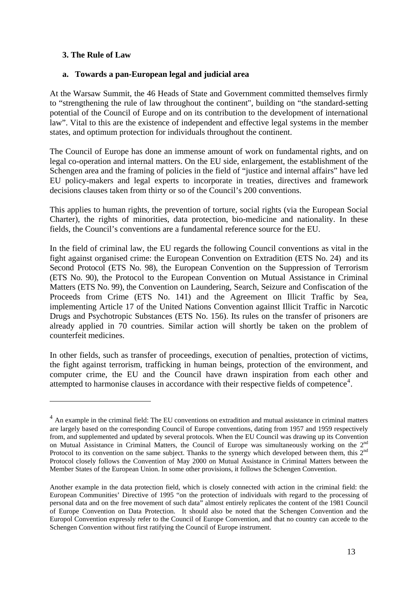# **3. The Rule of Law**

1

# **a. Towards a pan-European legal and judicial area**

At the Warsaw Summit, the 46 Heads of State and Government committed themselves firmly to "strengthening the rule of law throughout the continent", building on "the standard-setting potential of the Council of Europe and on its contribution to the development of international law". Vital to this are the existence of independent and effective legal systems in the member states, and optimum protection for individuals throughout the continent.

The Council of Europe has done an immense amount of work on fundamental rights, and on legal co-operation and internal matters. On the EU side, enlargement, the establishment of the Schengen area and the framing of policies in the field of "justice and internal affairs" have led EU policy-makers and legal experts to incorporate in treaties, directives and framework decisions clauses taken from thirty or so of the Council's 200 conventions.

This applies to human rights, the prevention of torture, social rights (via the European Social Charter), the rights of minorities, data protection, bio-medicine and nationality. In these fields, the Council's conventions are a fundamental reference source for the EU.

In the field of criminal law, the EU regards the following Council conventions as vital in the fight against organised crime: the European Convention on Extradition (ETS No. 24) and its Second Protocol (ETS No. 98), the European Convention on the Suppression of Terrorism (ETS No. 90), the Protocol to the European Convention on Mutual Assistance in Criminal Matters (ETS No. 99), the Convention on Laundering, Search, Seizure and Confiscation of the Proceeds from Crime (ETS No. 141) and the Agreement on Illicit Traffic by Sea, implementing Article 17 of the United Nations Convention against Illicit Traffic in Narcotic Drugs and Psychotropic Substances (ETS No. 156). Its rules on the transfer of prisoners are already applied in 70 countries. Similar action will shortly be taken on the problem of counterfeit medicines.

In other fields, such as transfer of proceedings, execution of penalties, protection of victims, the fight against terrorism, trafficking in human beings, protection of the environment, and computer crime, the EU and the Council have drawn inspiration from each other and attempted to harmonise clauses in accordance with their respective fields of competence<sup>[4](#page-15-0)</sup>.

<span id="page-15-0"></span><sup>&</sup>lt;sup>4</sup> An example in the criminal field: The EU conventions on extradition and mutual assistance in criminal matters are largely based on the corresponding Council of Europe conventions, dating from 1957 and 1959 respectively from, and supplemented and updated by several protocols. When the EU Council was drawing up its Convention on Mutual Assistance in Criminal Matters, the Council of Europe was simultaneously working on the 2<sup>nd</sup> Protocol to its convention on the same subject. Thanks to the synergy which developed between them, this 2<sup>nd</sup> Protocol closely follows the Convention of May 2000 on Mutual Assistance in Criminal Matters between the Member States of the European Union. In some other provisions, it follows the Schengen Convention.

Another example in the data protection field, which is closely connected with action in the criminal field: the European Communities' Directive of 1995 "on the protection of individuals with regard to the processing of personal data and on the free movement of such data" almost entirely replicates the content of the 1981 Council of Europe Convention on Data Protection. It should also be noted that the Schengen Convention and the Europol Convention expressly refer to the Council of Europe Convention, and that no country can accede to the Schengen Convention without first ratifying the Council of Europe instrument.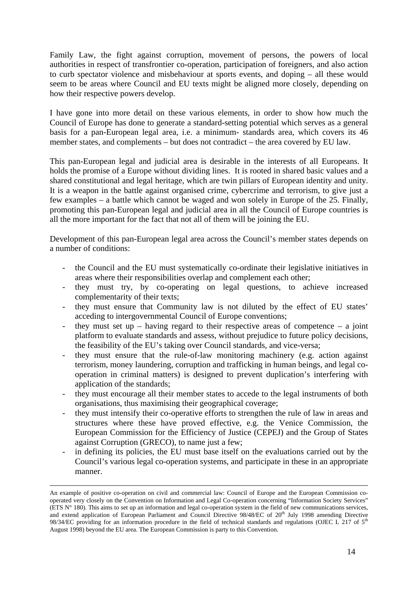Family Law, the fight against corruption, movement of persons, the powers of local authorities in respect of transfrontier co-operation, participation of foreigners, and also action to curb spectator violence and misbehaviour at sports events, and doping – all these would seem to be areas where Council and EU texts might be aligned more closely, depending on how their respective powers develop.

I have gone into more detail on these various elements, in order to show how much the Council of Europe has done to generate a standard-setting potential which serves as a general basis for a pan-European legal area, i.e. a minimum- standards area, which covers its 46 member states, and complements – but does not contradict – the area covered by EU law.

This pan-European legal and judicial area is desirable in the interests of all Europeans. It holds the promise of a Europe without dividing lines. It is rooted in shared basic values and a shared constitutional and legal heritage, which are twin pillars of European identity and unity. It is a weapon in the battle against organised crime, cybercrime and terrorism, to give just a few examples – a battle which cannot be waged and won solely in Europe of the 25. Finally, promoting this pan-European legal and judicial area in all the Council of Europe countries is all the more important for the fact that not all of them will be joining the EU.

Development of this pan-European legal area across the Council's member states depends on a number of conditions:

- the Council and the EU must systematically co-ordinate their legislative initiatives in areas where their responsibilities overlap and complement each other;
- they must try, by co-operating on legal questions, to achieve increased complementarity of their texts;
- they must ensure that Community law is not diluted by the effect of EU states' acceding to intergovernmental Council of Europe conventions;
- they must set up having regard to their respective areas of competence a joint platform to evaluate standards and assess, without prejudice to future policy decisions, the feasibility of the EU's taking over Council standards, and vice-versa;
- they must ensure that the rule-of-law monitoring machinery (e.g. action against terrorism, money laundering, corruption and trafficking in human beings, and legal cooperation in criminal matters) is designed to prevent duplication's interfering with application of the standards;
- they must encourage all their member states to accede to the legal instruments of both organisations, thus maximising their geographical coverage;
- they must intensify their co-operative efforts to strengthen the rule of law in areas and structures where these have proved effective, e.g. the Venice Commission, the European Commission for the Efficiency of Justice (CEPEJ) and the Group of States against Corruption (GRECO), to name just a few;
- in defining its policies, the EU must base itself on the evaluations carried out by the Council's various legal co-operation systems, and participate in these in an appropriate manner.

An example of positive co-operation on civil and commercial law: Council of Europe and the European Commission cooperated very closely on the Convention on Information and Legal Co-operation concerning "Information Society Services" (ETS N° 180). This aims to set up an information and legal co-operation system in the field of new communications services, and extend application of European Parliament and Council Directive 98/48/EC of 20<sup>th</sup> July 1998 amending Directive 98/34/EC providing for an information procedure in the field of technical standards and regulations (OJEC L 217 of  $5<sup>th</sup>$ August 1998) beyond the EU area. The European Commission is party to this Convention.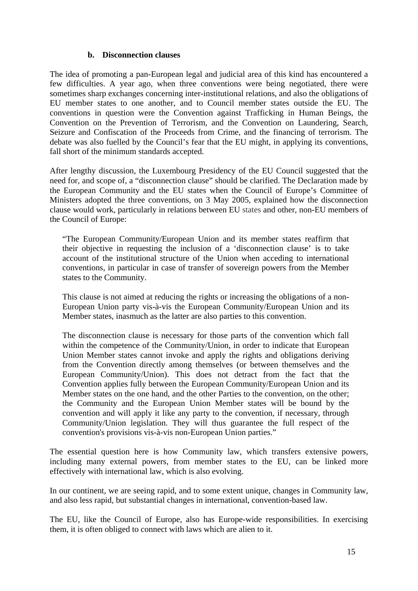#### **b. Disconnection clauses**

The idea of promoting a pan-European legal and judicial area of this kind has encountered a few difficulties. A year ago, when three conventions were being negotiated, there were sometimes sharp exchanges concerning inter-institutional relations, and also the obligations of EU member states to one another, and to Council member states outside the EU. The conventions in question were the Convention against Trafficking in Human Beings, the Convention on the Prevention of Terrorism, and the Convention on Laundering, Search, Seizure and Confiscation of the Proceeds from Crime, and the financing of terrorism. The debate was also fuelled by the Council's fear that the EU might, in applying its conventions, fall short of the minimum standards accepted.

After lengthy discussion, the Luxembourg Presidency of the EU Council suggested that the need for, and scope of, a "disconnection clause" should be clarified. The Declaration made by the European Community and the EU states when the Council of Europe's Committee of Ministers adopted the three conventions, on 3 May 2005, explained how the disconnection clause would work, particularly in relations between EU states and other, non-EU members of the Council of Europe:

"The European Community/European Union and its member states reaffirm that their objective in requesting the inclusion of a 'disconnection clause' is to take account of the institutional structure of the Union when acceding to international conventions, in particular in case of transfer of sovereign powers from the Member states to the Community.

This clause is not aimed at reducing the rights or increasing the obligations of a non-European Union party vis-à-vis the European Community/European Union and its Member states, inasmuch as the latter are also parties to this convention.

The disconnection clause is necessary for those parts of the convention which fall within the competence of the Community/Union, in order to indicate that European Union Member states cannot invoke and apply the rights and obligations deriving from the Convention directly among themselves (or between themselves and the European Community/Union). This does not detract from the fact that the Convention applies fully between the European Community/European Union and its Member states on the one hand, and the other Parties to the convention, on the other; the Community and the European Union Member states will be bound by the convention and will apply it like any party to the convention, if necessary, through Community/Union legislation. They will thus guarantee the full respect of the convention's provisions vis-à-vis non-European Union parties."

The essential question here is how Community law, which transfers extensive powers, including many external powers, from member states to the EU, can be linked more effectively with international law, which is also evolving.

In our continent, we are seeing rapid, and to some extent unique, changes in Community law, and also less rapid, but substantial changes in international, convention-based law.

The EU, like the Council of Europe, also has Europe-wide responsibilities. In exercising them, it is often obliged to connect with laws which are alien to it.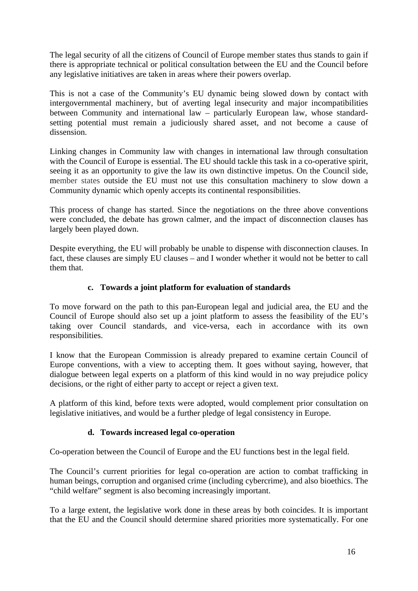The legal security of all the citizens of Council of Europe member states thus stands to gain if there is appropriate technical or political consultation between the EU and the Council before any legislative initiatives are taken in areas where their powers overlap.

This is not a case of the Community's EU dynamic being slowed down by contact with intergovernmental machinery, but of averting legal insecurity and major incompatibilities between Community and international law – particularly European law, whose standardsetting potential must remain a judiciously shared asset, and not become a cause of dissension.

Linking changes in Community law with changes in international law through consultation with the Council of Europe is essential. The EU should tackle this task in a co-operative spirit, seeing it as an opportunity to give the law its own distinctive impetus. On the Council side, member states outside the EU must not use this consultation machinery to slow down a Community dynamic which openly accepts its continental responsibilities.

This process of change has started. Since the negotiations on the three above conventions were concluded, the debate has grown calmer, and the impact of disconnection clauses has largely been played down.

Despite everything, the EU will probably be unable to dispense with disconnection clauses. In fact, these clauses are simply EU clauses – and I wonder whether it would not be better to call them that.

# **c. Towards a joint platform for evaluation of standards**

To move forward on the path to this pan-European legal and judicial area, the EU and the Council of Europe should also set up a joint platform to assess the feasibility of the EU's taking over Council standards, and vice-versa, each in accordance with its own responsibilities.

I know that the European Commission is already prepared to examine certain Council of Europe conventions, with a view to accepting them. It goes without saying, however, that dialogue between legal experts on a platform of this kind would in no way prejudice policy decisions, or the right of either party to accept or reject a given text.

A platform of this kind, before texts were adopted, would complement prior consultation on legislative initiatives, and would be a further pledge of legal consistency in Europe.

# **d. Towards increased legal co-operation**

Co-operation between the Council of Europe and the EU functions best in the legal field.

The Council's current priorities for legal co-operation are action to combat trafficking in human beings, corruption and organised crime (including cybercrime), and also bioethics. The "child welfare" segment is also becoming increasingly important.

To a large extent, the legislative work done in these areas by both coincides. It is important that the EU and the Council should determine shared priorities more systematically. For one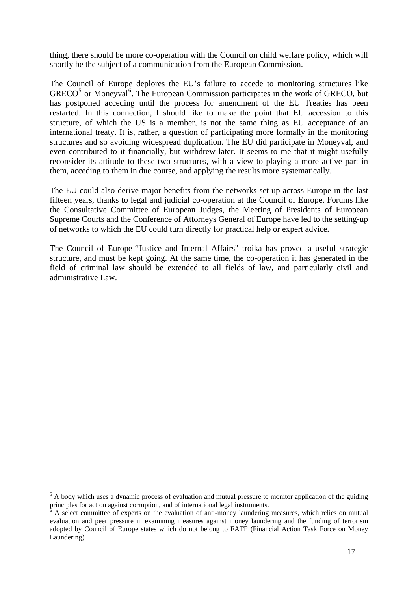thing, there should be more co-operation with the Council on child welfare policy, which will shortly be the subject of a communication from the European Commission.

The Council of Europe deplores the EU's failure to accede to monitoring structures like GRECO<sup>[5](#page-19-0)</sup> or Moneyval<sup>[6](#page-19-1)</sup>. The European Commission participates in the work of GRECO, but has postponed acceding until the process for amendment of the EU Treaties has been restarted. In this connection, I should like to make the point that EU accession to this structure, of which the US is a member, is not the same thing as EU acceptance of an international treaty. It is, rather, a question of participating more formally in the monitoring structures and so avoiding widespread duplication. The EU did participate in Moneyval, and even contributed to it financially, but withdrew later. It seems to me that it might usefully reconsider its attitude to these two structures, with a view to playing a more active part in them, acceding to them in due course, and applying the results more systematically.

The EU could also derive major benefits from the networks set up across Europe in the last fifteen years, thanks to legal and judicial co-operation at the Council of Europe. Forums like the Consultative Committee of European Judges, the Meeting of Presidents of European Supreme Courts and the Conference of Attorneys General of Europe have led to the setting-up of networks to which the EU could turn directly for practical help or expert advice.

The Council of Europe-"Justice and Internal Affairs" troika has proved a useful strategic structure, and must be kept going. At the same time, the co-operation it has generated in the field of criminal law should be extended to all fields of law, and particularly civil and administrative Law.

1

<span id="page-19-0"></span><sup>&</sup>lt;sup>5</sup> A body which uses a dynamic process of evaluation and mutual pressure to monitor application of the guiding principles for action against corruption, and of international legal instruments.

<span id="page-19-1"></span><sup>6</sup> A select committee of experts on the evaluation of anti-money laundering measures, which relies on mutual evaluation and peer pressure in examining measures against money laundering and the funding of terrorism adopted by Council of Europe states which do not belong to FATF (Financial Action Task Force on Money Laundering).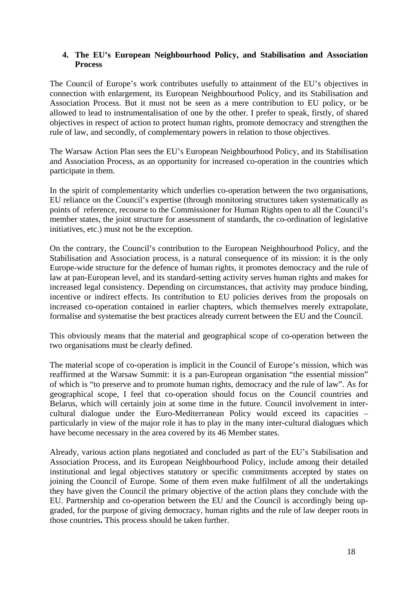# **4. The EU's European Neighbourhood Policy, and Stabilisation and Association Process**

The Council of Europe's work contributes usefully to attainment of the EU's objectives in connection with enlargement, its European Neighbourhood Policy, and its Stabilisation and Association Process. But it must not be seen as a mere contribution to EU policy, or be allowed to lead to instrumentalisation of one by the other. I prefer to speak, firstly, of shared objectives in respect of action to protect human rights, promote democracy and strengthen the rule of law, and secondly, of complementary powers in relation to those objectives.

The Warsaw Action Plan sees the EU's European Neighbourhood Policy, and its Stabilisation and Association Process, as an opportunity for increased co-operation in the countries which participate in them.

In the spirit of complementarity which underlies co-operation between the two organisations, EU reliance on the Council's expertise (through monitoring structures taken systematically as points of reference, recourse to the Commissioner for Human Rights open to all the Council's member states, the joint structure for assessment of standards, the co-ordination of legislative initiatives, etc.) must not be the exception.

On the contrary, the Council's contribution to the European Neighbourhood Policy, and the Stabilisation and Association process, is a natural consequence of its mission: it is the only Europe-wide structure for the defence of human rights, it promotes democracy and the rule of law at pan-European level, and its standard-setting activity serves human rights and makes for increased legal consistency. Depending on circumstances, that activity may produce binding, incentive or indirect effects. Its contribution to EU policies derives from the proposals on increased co-operation contained in earlier chapters, which themselves merely extrapolate, formalise and systematise the best practices already current between the EU and the Council.

This obviously means that the material and geographical scope of co-operation between the two organisations must be clearly defined.

The material scope of co-operation is implicit in the Council of Europe's mission, which was reaffirmed at the Warsaw Summit: it is a pan-European organisation "the essential mission" of which is "to preserve and to promote human rights, democracy and the rule of law". As for geographical scope, I feel that co-operation should focus on the Council countries and Belarus, which will certainly join at some time in the future. Council involvement in intercultural dialogue under the Euro-Mediterranean Policy would exceed its capacities – particularly in view of the major role it has to play in the many inter-cultural dialogues which have become necessary in the area covered by its 46 Member states.

Already, various action plans negotiated and concluded as part of the EU's Stabilisation and Association Process, and its European Neighbourhood Policy, include among their detailed institutional and legal objectives statutory or specific commitments accepted by states on joining the Council of Europe. Some of them even make fulfilment of all the undertakings they have given the Council the primary objective of the action plans they conclude with the EU. Partnership and co-operation between the EU and the Council is accordingly being upgraded, for the purpose of giving democracy, human rights and the rule of law deeper roots in those countries**.** This process should be taken further.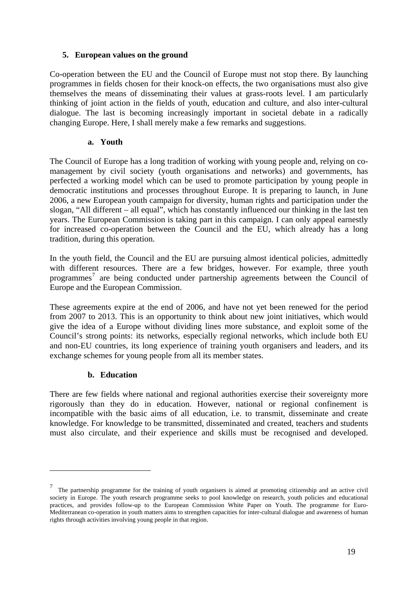# **5. European values on the ground**

Co-operation between the EU and the Council of Europe must not stop there. By launching programmes in fields chosen for their knock-on effects, the two organisations must also give themselves the means of disseminating their values at grass-roots level. I am particularly thinking of joint action in the fields of youth, education and culture, and also inter-cultural dialogue. The last is becoming increasingly important in societal debate in a radically changing Europe. Here, I shall merely make a few remarks and suggestions.

#### **a. Youth**

The Council of Europe has a long tradition of working with young people and, relying on comanagement by civil society (youth organisations and networks) and governments, has perfected a working model which can be used to promote participation by young people in democratic institutions and processes throughout Europe. It is preparing to launch, in June 2006, a new European youth campaign for diversity, human rights and participation under the slogan, "All different – all equal", which has constantly influenced our thinking in the last ten years. The European Commission is taking part in this campaign. I can only appeal earnestly for increased co-operation between the Council and the EU, which already has a long tradition, during this operation.

In the youth field, the Council and the EU are pursuing almost identical policies, admittedly with different resources. There are a few bridges, however. For example, three youth programmes<sup>[7](#page-21-0)</sup> are being conducted under partnership agreements between the Council of Europe and the European Commission.

These agreements expire at the end of 2006, and have not yet been renewed for the period from 2007 to 2013. This is an opportunity to think about new joint initiatives, which would give the idea of a Europe without dividing lines more substance, and exploit some of the Council's strong points: its networks, especially regional networks, which include both EU and non-EU countries, its long experience of training youth organisers and leaders, and its exchange schemes for young people from all its member states.

# **b. Education**

1

There are few fields where national and regional authorities exercise their sovereignty more rigorously than they do in education. However, national or regional confinement is incompatible with the basic aims of all education, i.e. to transmit, disseminate and create knowledge. For knowledge to be transmitted, disseminated and created, teachers and students must also circulate, and their experience and skills must be recognised and developed.

<span id="page-21-0"></span> $<sup>7</sup>$  The partnership programme for the training of youth organisers is aimed at promoting citizenship and an active civil</sup> society in Europe. The youth research [programme seeks to pool k](http://www.coe.int/T/E/Cultural_Co-operation/Youth/2._Priorities/research_partnership.asp#TopOfPage)nowledge on research, youth policies and educational practices, and provides follow-up to the European Commission White Paper on Youth. Th[e programme for Euro-](http://eycb.coe.int/eycbwwwroot/Euro-Med/index.html)[Mediterranean co-operation](http://eycb.coe.int/eycbwwwroot/Euro-Med/index.html) in youth matters aims to strengthen capacities for inter-cultural dialogue and awareness of human rights through activities involving young people in that region.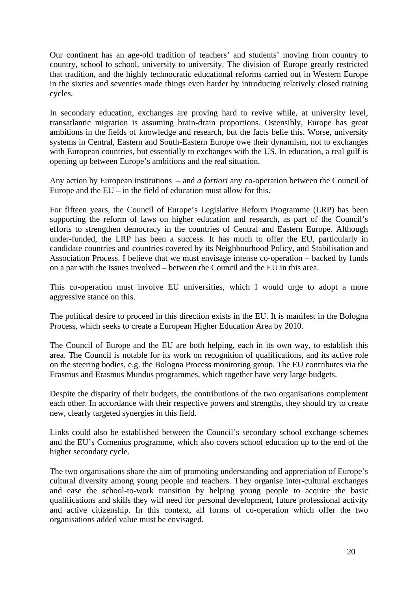Our continent has an age-old tradition of teachers' and students' moving from country to country, school to school, university to university. The division of Europe greatly restricted that tradition, and the highly technocratic educational reforms carried out in Western Europe in the sixties and seventies made things even harder by introducing relatively closed training cycles.

In secondary education, exchanges are proving hard to revive while, at university level, transatlantic migration is assuming brain-drain proportions. Ostensibly, Europe has great ambitions in the fields of knowledge and research, but the facts belie this. Worse, university systems in Central, Eastern and South-Eastern Europe owe their dynamism, not to exchanges with European countries, but essentially to exchanges with the US. In education, a real gulf is opening up between Europe's ambitions and the real situation.

Any action by European institutions – and *a fortiori* any co-operation between the Council of Europe and the EU – in the field of education must allow for this.

For fifteen years, the Council of Europe's Legislative Reform Programme (LRP) has been supporting the reform of laws on higher education and research, as part of the Council's efforts to strengthen democracy in the countries of Central and Eastern Europe. Although under-funded, the LRP has been a success. It has much to offer the EU, particularly in candidate countries and countries covered by its Neighbourhood Policy, and Stabilisation and Association Process. I believe that we must envisage intense co-operation – backed by funds on a par with the issues involved – between the Council and the EU in this area.

This co-operation must involve EU universities, which I would urge to adopt a more aggressive stance on this.

The political desire to proceed in this direction exists in the EU. It is manifest in the Bologna Process, which seeks to create a European Higher Education Area by 2010.

The Council of Europe and the EU are both helping, each in its own way, to establish this area. The Council is notable for its work on recognition of qualifications, and its active role on the steering bodies, e.g. the Bologna Process monitoring group. The EU contributes via the Erasmus and Erasmus Mundus programmes, which together have very large budgets.

Despite the disparity of their budgets, the contributions of the two organisations complement each other. In accordance with their respective powers and strengths, they should try to create new, clearly targeted synergies in this field.

Links could also be established between the Council's secondary school exchange schemes and the EU's Comenius programme, which also covers school education up to the end of the higher secondary cycle.

The two organisations share the aim of promoting understanding and appreciation of Europe's cultural diversity among young people and teachers. They organise inter-cultural exchanges and ease the school-to-work transition by helping young people to acquire the basic qualifications and skills they will need for personal development, future professional activity and active citizenship. In this context, all forms of co-operation which offer the two organisations added value must be envisaged.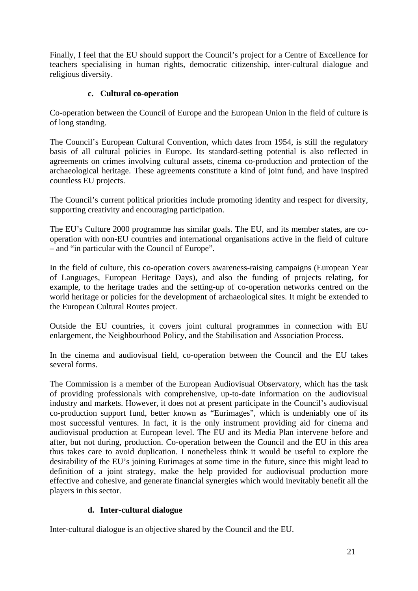Finally, I feel that the EU should support the Council's project for a Centre of Excellence for teachers specialising in human rights, democratic citizenship, inter-cultural dialogue and religious diversity.

# **c. Cultural co-operation**

Co-operation between the Council of Europe and the European Union in the field of culture is of long standing.

The Council's European Cultural Convention, which dates from 1954, is still the regulatory basis of all cultural policies in Europe. Its standard-setting potential is also reflected in agreements on crimes involving cultural assets, cinema co-production and protection of the archaeological heritage. These agreements constitute a kind of joint fund, and have inspired countless EU projects.

The Council's current political priorities include promoting identity and respect for diversity, supporting creativity and encouraging participation.

The EU's Culture 2000 programme has similar goals. The EU, and its member states, are cooperation with non-EU countries and international organisations active in the field of culture – and "in particular with the Council of Europe".

In the field of culture, this co-operation covers awareness-raising campaigns (European Year of Languages, European Heritage Days), and also the funding of projects relating, for example, to the heritage trades and the setting-up of co-operation networks centred on the world heritage or policies for the development of archaeological [sites.](http://www.coe.int/T/E/Cultural_Co-operation/Heritage/Archaeology/) It might be extended to the European Cultural Routes project.

Outside the EU countries, it covers joint cultural programmes in connection with EU enlargement, the Neighbourhood Policy, and the Stabilisation and Association Process.

In the cinema and audiovisual field, co-operation between the Council and the EU takes several forms.

The Commission is a member of the European Audiovisual [Observatory,](http://www.obs.coe.int/) which has the task of providing professionals with comprehensive, up-to-date information on the audiovisual industry and markets. However, it does not at present participate in the Council's audiovisual co-production support fund, better known as "Eurimages", which is undeniably one of its most successful ventures. In fact, it is the only instrument providing aid for cinema and audiovisual production at European level. The EU and its Media Plan intervene before and after, but not during, production. Co-operation between the Council and the EU in this area thus takes care to avoid duplication. I nonetheless think it would be useful to explore the desirability of the EU's joining Eurimages at some time in the future, since this might lead to definition of a joint strategy, make the help provided for audiovisual production more effective and cohesive, and generate financial synergies which would inevitably benefit all the players in this sector.

# **d. Inter-cultural dialogue**

Inter-cultural dialogue is an objective shared by the Council and the EU.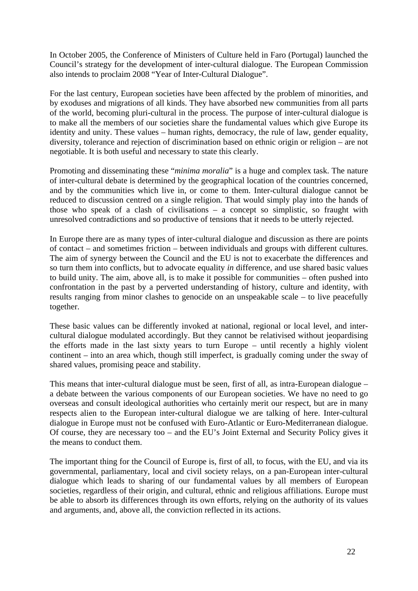In October 2005, the Conference of Ministers of Culture held in Faro (Portugal) launched the Council's strategy for the development of inter-cultural dialogue. The European Commission also intends to proclaim 2008 "Year of Inter-Cultural Dialogue".

For the last century, European societies have been affected by the problem of minorities, and by exoduses and migrations of all kinds. They have absorbed new communities from all parts of the world, becoming pluri-cultural in the process. The purpose of inter-cultural dialogue is to make all the members of our societies share the fundamental values which give Europe its identity and unity. These values – human rights, democracy, the rule of law, gender equality, diversity, tolerance and rejection of discrimination based on ethnic origin or religion – are not negotiable. It is both useful and necessary to state this clearly.

Promoting and disseminating these "*minima moralia*" is a huge and complex task. The nature of inter-cultural debate is determined by the geographical location of the countries concerned, and by the communities which live in, or come to them. Inter-cultural dialogue cannot be reduced to discussion centred on a single religion. That would simply play into the hands of those who speak of a clash of civilisations – a concept so simplistic, so fraught with unresolved contradictions and so productive of tensions that it needs to be utterly rejected.

In Europe there are as many types of inter-cultural dialogue and discussion as there are points of contact – and sometimes friction – between individuals and groups with different cultures. The aim of synergy between the Council and the EU is not to exacerbate the differences and so turn them into conflicts, but to advocate equality *in* difference, and use shared basic values to build unity. The aim, above all, is to make it possible for communities – often pushed into confrontation in the past by a perverted understanding of history, culture and identity, with results ranging from minor clashes to genocide on an unspeakable scale – to live peacefully together.

These basic values can be differently invoked at national, regional or local level, and intercultural dialogue modulated accordingly. But they cannot be relativised without jeopardising the efforts made in the last sixty years to turn Europe – until recently a highly violent continent – into an area which, though still imperfect, is gradually coming under the sway of shared values, promising peace and stability.

This means that inter-cultural dialogue must be seen, first of all, as intra-European dialogue – a debate between the various components of our European societies. We have no need to go overseas and consult ideological authorities who certainly merit our respect, but are in many respects alien to the European inter-cultural dialogue we are talking of here. Inter-cultural dialogue in Europe must not be confused with Euro-Atlantic or Euro-Mediterranean dialogue. Of course, they are necessary too – and the EU's Joint External and Security Policy gives it the means to conduct them.

The important thing for the Council of Europe is, first of all, to focus, with the EU, and via its governmental, parliamentary, local and civil society relays, on a pan-European inter-cultural dialogue which leads to sharing of our fundamental values by all members of European societies, regardless of their origin, and cultural, ethnic and religious affiliations. Europe must be able to absorb its differences through its own efforts, relying on the authority of its values and arguments, and, above all, the conviction reflected in its actions.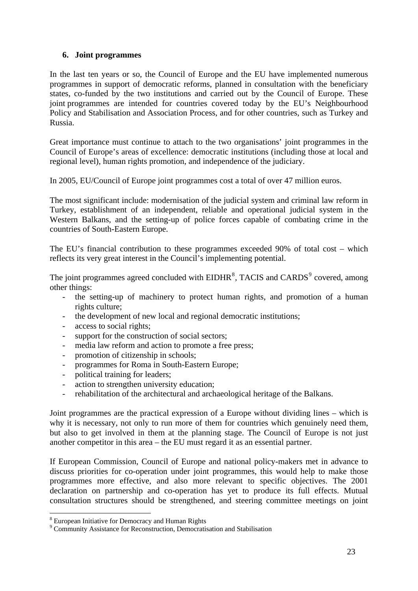# **6. Joint programmes**

In the last ten years or so, the Council of Europe and the EU have implemented numerous programmes in support of democratic reforms, planned in consultation with the beneficiary states, co-funded by the two institutions and carried out by the Council of Europe. These joint programmes are intended for countries covered today by the EU's Neighbourhood Policy and Stabilisation and Association Process, and for other countries, such as Turkey and Russia.

Great importance must continue to attach to the two organisations' joint programmes in the Council of Europe's areas of excellence: democratic institutions (including those at local and regional level), human rights promotion, and independence of the judiciary.

In 2005, EU/Council of Europe joint programmes cost a total of over 47 million euros.

The most significant include: modernisation of the judicial system and criminal law reform in Turkey, establishment of an independent, reliable and operational judicial system in the Western Balkans, and the setting-up of police forces capable of combating crime in the countries of South-Eastern Europe.

The EU's financial contribution to these programmes exceeded 90% of total cost – which reflects its very great interest in the Council's implementing potential.

The joint programmes agreed concluded with EIDHR<sup>[8](#page-25-0)</sup>, TACIS and CARDS<sup>[9](#page-25-1)</sup> covered, among other things:

- the setting-up of machinery to protect human rights, and promotion of a human rights culture;
- the development of new local and regional democratic institutions;
- access to social rights;
- support for the construction of social sectors;
- media law reform and action to promote a free press;
- promotion of citizenship in schools;
- programmes for Roma in South-Eastern Europe;
- political training for leaders;
- action to strengthen university education;
- rehabilitation of the architectural and archaeological heritage of the Balkans.

Joint programmes are the practical expression of a Europe without dividing lines – which is why it is necessary, not only to run more of them for countries which genuinely need them, but also to get involved in them at the planning stage. The Council of Europe is not just another competitor in this area – the EU must regard it as an essential partner.

If European Commission, Council of Europe and national policy-makers met in advance to discuss priorities for co-operation under joint programmes, this would help to make those programmes more effective, and also more relevant to specific objectives. The 2001 declaration on partnership and co-operation has yet to produce its full effects. Mutual consultation structures should be strengthened, and steering committee meetings on joint

1

<span id="page-25-0"></span><sup>8</sup> European Initiative for Democracy and Human Rights

<span id="page-25-1"></span><sup>&</sup>lt;sup>9</sup> Community Assistance for Reconstruction, Democratisation and Stabilisation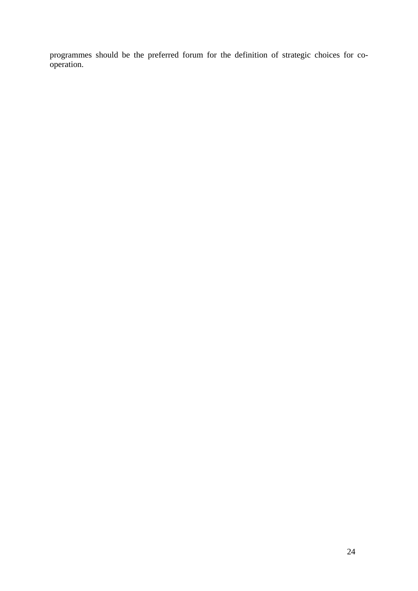programmes should be the preferred forum for the definition of strategic choices for cooperation.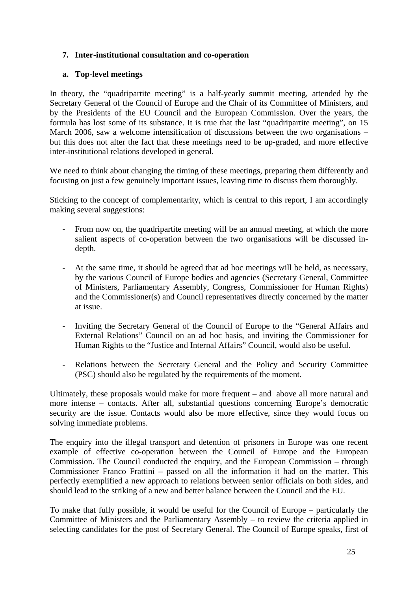# **7. Inter-institutional consultation and co-operation**

# **a. Top-level meetings**

In theory, the "quadripartite meeting" is a half-yearly summit meeting, attended by the Secretary General of the Council of Europe and the Chair of its Committee of Ministers, and by the Presidents of the EU Council and the European Commission. Over the years, the formula has lost some of its substance. It is true that the last "quadripartite meeting", on 15 March 2006, saw a welcome intensification of discussions between the two organisations – but this does not alter the fact that these meetings need to be up-graded, and more effective inter-institutional relations developed in general.

We need to think about changing the timing of these meetings, preparing them differently and focusing on just a few genuinely important issues, leaving time to discuss them thoroughly.

Sticking to the concept of complementarity, which is central to this report, I am accordingly making several suggestions:

- From now on, the quadripartite meeting will be an annual meeting, at which the more salient aspects of co-operation between the two organisations will be discussed indepth.
- At the same time, it should be agreed that ad hoc meetings will be held, as necessary, by the various Council of Europe bodies and agencies (Secretary General, Committee of Ministers, Parliamentary Assembly, Congress, Commissioner for Human Rights) and the Commissioner(s) and Council representatives directly concerned by the matter at issue.
- Inviting the Secretary General of the Council of Europe to the "General Affairs and External Relations" Council on an ad hoc basis, and inviting the Commissioner for Human Rights to the "Justice and Internal Affairs" Council, would also be useful.
- Relations between the Secretary General and the Policy and Security Committee (PSC) should also be regulated by the requirements of the moment.

Ultimately, these proposals would make for more frequent – and above all more natural and more intense – contacts. After all, substantial questions concerning Europe's democratic security are the issue. Contacts would also be more effective, since they would focus on solving immediate problems.

The enquiry into the illegal transport and detention of prisoners in Europe was one recent example of effective co-operation between the Council of Europe and the European Commission. The Council conducted the enquiry, and the European Commission – through Commissioner Franco Frattini – passed on all the information it had on the matter. This perfectly exemplified a new approach to relations between senior officials on both sides, and should lead to the striking of a new and better balance between the Council and the EU.

To make that fully possible, it would be useful for the Council of Europe – particularly the Committee of Ministers and the Parliamentary Assembly – to review the criteria applied in selecting candidates for the post of Secretary General. The Council of Europe speaks, first of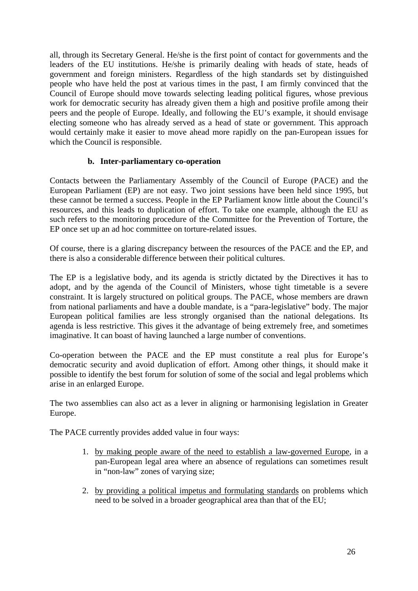all, through its Secretary General. He/she is the first point of contact for governments and the leaders of the EU institutions. He/she is primarily dealing with heads of state, heads of government and foreign ministers. Regardless of the high standards set by distinguished people who have held the post at various times in the past, I am firmly convinced that the Council of Europe should move towards selecting leading political figures, whose previous work for democratic security has already given them a high and positive profile among their peers and the people of Europe. Ideally, and following the EU's example, it should envisage electing someone who has already served as a head of state or government. This approach would certainly make it easier to move ahead more rapidly on the pan-European issues for which the Council is responsible.

# **b. Inter-parliamentary co-operation**

Contacts between the Parliamentary Assembly of the Council of Europe (PACE) and the European Parliament (EP) are not easy. Two joint sessions have been held since 1995, but these cannot be termed a success. People in the EP Parliament know little about the Council's resources, and this leads to duplication of effort. To take one example, although the EU as such refers to the monitoring procedure of the Committee for the Prevention of Torture, the EP once set up an ad hoc committee on torture-related issues.

Of course, there is a glaring discrepancy between the resources of the PACE and the EP, and there is also a considerable difference between their political cultures.

The EP is a legislative body, and its agenda is strictly dictated by the Directives it has to adopt, and by the agenda of the Council of Ministers, whose tight timetable is a severe constraint. It is largely structured on political groups. The PACE, whose members are drawn from national parliaments and have a double mandate, is a "para-legislative" body. The major European political families are less strongly organised than the national delegations. Its agenda is less restrictive. This gives it the advantage of being extremely free, and sometimes imaginative. It can boast of having launched a large number of conventions.

Co-operation between the PACE and the EP must constitute a real plus for Europe's democratic security and avoid duplication of effort. Among other things, it should make it possible to identify the best forum for solution of some of the social and legal problems which arise in an enlarged Europe.

The two assemblies can also act as a lever in aligning or harmonising legislation in Greater Europe.

The PACE currently provides added value in four ways:

- 1. by making people aware of the need to establish a law-governed Europe, in a pan-European legal area where an absence of regulations can sometimes result in "non-law" zones of varying size;
- 2. by providing a political impetus and formulating standards on problems which need to be solved in a broader geographical area than that of the EU;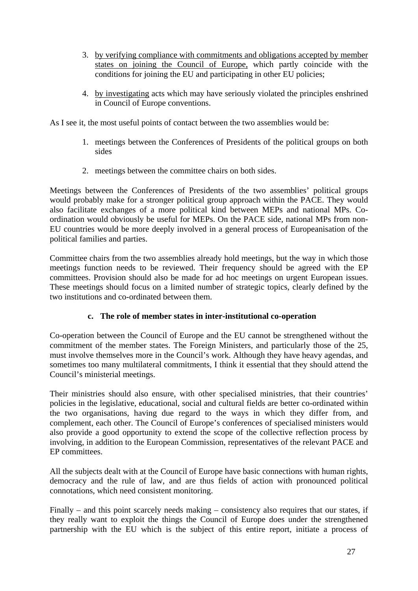- 3. by verifying compliance with commitments and obligations accepted by member states on joining the Council of Europe, which partly coincide with the conditions for joining the EU and participating in other EU policies;
- 4. by investigating acts which may have seriously violated the principles enshrined in Council of Europe conventions.

As I see it, the most useful points of contact between the two assemblies would be:

- 1. meetings between the Conferences of Presidents of the political groups on both sides
- 2. meetings between the committee chairs on both sides.

Meetings between the Conferences of Presidents of the two assemblies' political groups would probably make for a stronger political group approach within the PACE. They would also facilitate exchanges of a more political kind between MEPs and national MPs. Coordination would obviously be useful for MEPs. On the PACE side, national MPs from non-EU countries would be more deeply involved in a general process of Europeanisation of the political families and parties.

Committee chairs from the two assemblies already hold meetings, but the way in which those meetings function needs to be reviewed. Their frequency should be agreed with the EP committees. Provision should also be made for ad hoc meetings on urgent European issues. These meetings should focus on a limited number of strategic topics, clearly defined by the two institutions and co-ordinated between them.

# **c. The role of member states in inter-institutional co-operation**

Co-operation between the Council of Europe and the EU cannot be strengthened without the commitment of the member states. The Foreign Ministers, and particularly those of the 25, must involve themselves more in the Council's work. Although they have heavy agendas, and sometimes too many multilateral commitments, I think it essential that they should attend the Council's ministerial meetings.

Their ministries should also ensure, with other specialised ministries, that their countries' policies in the legislative, educational, social and cultural fields are better co-ordinated within the two organisations, having due regard to the ways in which they differ from, and complement, each other. The Council of Europe's conferences of specialised ministers would also provide a good opportunity to extend the scope of the collective reflection process by involving, in addition to the European Commission, representatives of the relevant PACE and EP committees.

All the subjects dealt with at the Council of Europe have basic connections with human rights, democracy and the rule of law, and are thus fields of action with pronounced political connotations, which need consistent monitoring.

Finally – and this point scarcely needs making – consistency also requires that our states, if they really want to exploit the things the Council of Europe does under the strengthened partnership with the EU which is the subject of this entire report, initiate a process of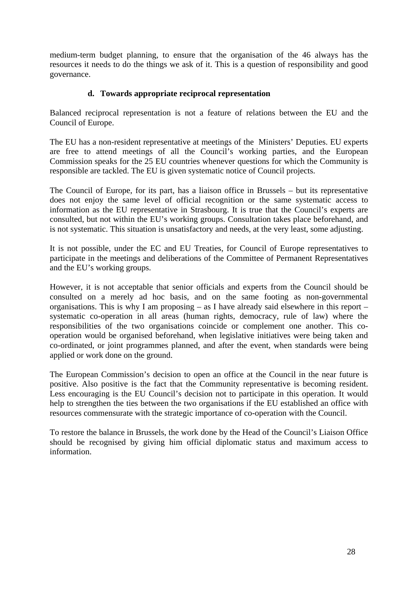medium-term budget planning, to ensure that the organisation of the 46 always has the resources it needs to do the things we ask of it. This is a question of responsibility and good governance.

# **d. Towards appropriate reciprocal representation**

Balanced reciprocal representation is not a feature of relations between the EU and the Council of Europe.

The EU has a non-resident representative at meetings of the Ministers' Deputies. EU experts are free to attend meetings of all the Council's working parties, and the European Commission speaks for the 25 EU countries whenever questions for which the Community is responsible are tackled. The EU is given systematic notice of Council projects.

The Council of Europe, for its part, has a liaison office in Brussels – but its representative does not enjoy the same level of official recognition or the same systematic access to information as the EU representative in Strasbourg. It is true that the Council's experts are consulted, but not within the EU's working groups. Consultation takes place beforehand, and is not systematic. This situation is unsatisfactory and needs, at the very least, some adjusting.

It is not possible, under the EC and EU Treaties, for Council of Europe representatives to participate in the meetings and deliberations of the Committee of Permanent Representatives and the EU's working groups.

However, it is not acceptable that senior officials and experts from the Council should be consulted on a merely ad hoc basis, and on the same footing as non-governmental organisations. This is why I am proposing – as I have already said elsewhere in this report – systematic co-operation in all areas (human rights, democracy, rule of law) where the responsibilities of the two organisations coincide or complement one another. This cooperation would be organised beforehand, when legislative initiatives were being taken and co-ordinated, or joint programmes planned, and after the event, when standards were being applied or work done on the ground.

The European Commission's decision to open an office at the Council in the near future is positive. Also positive is the fact that the Community representative is becoming resident. Less encouraging is the EU Council's decision not to participate in this operation. It would help to strengthen the ties between the two organisations if the EU established an office with resources commensurate with the strategic importance of co-operation with the Council.

To restore the balance in Brussels, the work done by the Head of the Council's Liaison Office should be recognised by giving him official diplomatic status and maximum access to information.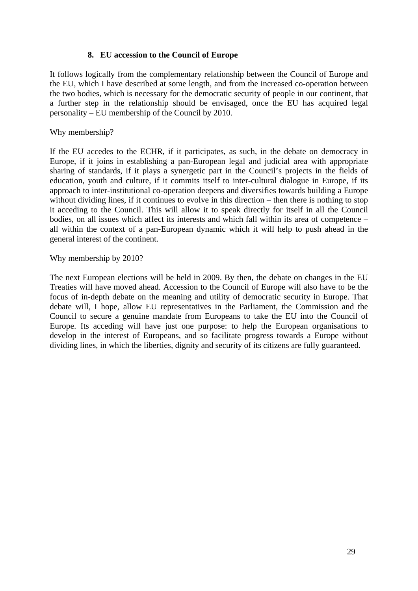#### **8. EU accession to the Council of Europe**

It follows logically from the complementary relationship between the Council of Europe and the EU, which I have described at some length, and from the increased co-operation between the two bodies, which is necessary for the democratic security of people in our continent, that a further step in the relationship should be envisaged, once the EU has acquired legal personality – EU membership of the Council by 2010.

Why membership?

If the EU accedes to the ECHR, if it participates, as such, in the debate on democracy in Europe, if it joins in establishing a pan-European legal and judicial area with appropriate sharing of standards, if it plays a synergetic part in the Council's projects in the fields of education, youth and culture, if it commits itself to inter-cultural dialogue in Europe, if its approach to inter-institutional co-operation deepens and diversifies towards building a Europe without dividing lines, if it continues to evolve in this direction – then there is nothing to stop it acceding to the Council. This will allow it to speak directly for itself in all the Council bodies, on all issues which affect its interests and which fall within its area of competence – all within the context of a pan-European dynamic which it will help to push ahead in the general interest of the continent.

Why membership by 2010?

The next European elections will be held in 2009. By then, the debate on changes in the EU Treaties will have moved ahead. Accession to the Council of Europe will also have to be the focus of in-depth debate on the meaning and utility of democratic security in Europe. That debate will, I hope, allow EU representatives in the Parliament, the Commission and the Council to secure a genuine mandate from Europeans to take the EU into the Council of Europe. Its acceding will have just one purpose: to help the European organisations to develop in the interest of Europeans, and so facilitate progress towards a Europe without dividing lines, in which the liberties, dignity and security of its citizens are fully guaranteed.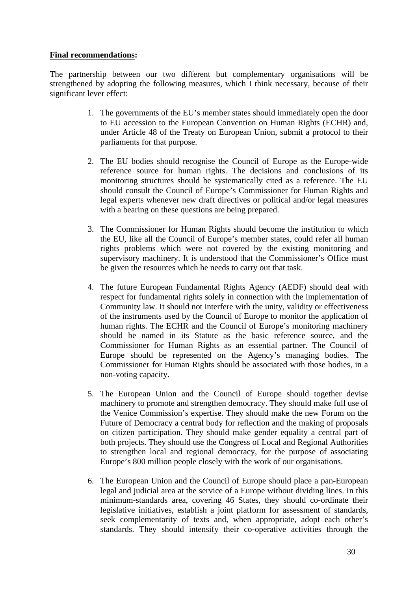#### **Final recommendations:**

The partnership between our two different but complementary organisations will be strengthened by adopting the following measures, which I think necessary, because of their significant lever effect:

- 1. The governments of the EU's member states should immediately open the door to EU accession to the European Convention on Human Rights (ECHR) and, under Article 48 of the Treaty on European Union, submit a protocol to their parliaments for that purpose.
- 2. The EU bodies should recognise the Council of Europe as the Europe-wide reference source for human rights. The decisions and conclusions of its monitoring structures should be systematically cited as a reference. The EU should consult the Council of Europe's Commissioner for Human Rights and legal experts whenever new draft directives or political and/or legal measures with a bearing on these questions are being prepared.
- 3. The Commissioner for Human Rights should become the institution to which the EU, like all the Council of Europe's member states, could refer all human rights problems which were not covered by the existing monitoring and supervisory machinery. It is understood that the Commissioner's Office must be given the resources which he needs to carry out that task.
- 4. The future European Fundamental Rights Agency (AEDF) should deal with respect for fundamental rights solely in connection with the implementation of Community law. It should not interfere with the unity, validity or effectiveness of the instruments used by the Council of Europe to monitor the application of human rights. The ECHR and the Council of Europe's monitoring machinery should be named in its Statute as the basic reference source, and the Commissioner for Human Rights as an essential partner. The Council of Europe should be represented on the Agency's managing bodies. The Commissioner for Human Rights should be associated with those bodies, in a non-voting capacity.
- 5. The European Union and the Council of Europe should together devise machinery to promote and strengthen democracy. They should make full use of the Venice Commission's expertise. They should make the new Forum on the Future of Democracy a central body for reflection and the making of proposals on citizen participation. They should make gender equality a central part of both projects. They should use the Congress of Local and Regional Authorities to strengthen local and regional democracy, for the purpose of associating Europe's 800 million people closely with the work of our organisations.
- 6. The European Union and the Council of Europe should place a pan-European legal and judicial area at the service of a Europe without dividing lines. In this minimum-standards area, covering 46 States, they should co-ordinate their legislative initiatives, establish a joint platform for assessment of standards, seek complementarity of texts and, when appropriate, adopt each other's standards. They should intensify their co-operative activities through the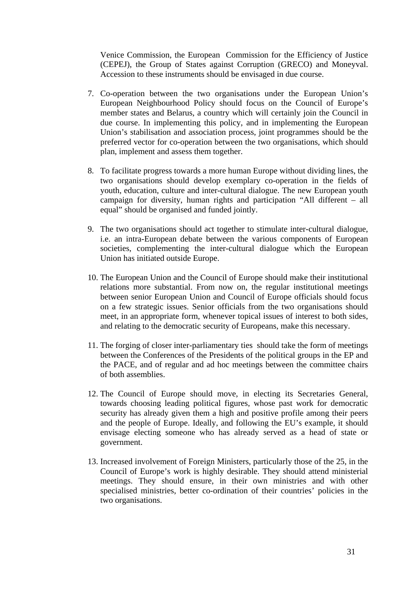Venice Commission, the European Commission for the Efficiency of Justice (CEPEJ), the Group of States against Corruption (GRECO) and Moneyval. Accession to these instruments should be envisaged in due course.

- 7. Co-operation between the two organisations under the European Union's European Neighbourhood Policy should focus on the Council of Europe's member states and Belarus, a country which will certainly join the Council in due course. In implementing this policy, and in implementing the European Union's stabilisation and association process, joint programmes should be the preferred vector for co-operation between the two organisations, which should plan, implement and assess them together.
- 8. To facilitate progress towards a more human Europe without dividing lines, the two organisations should develop exemplary co-operation in the fields of youth, education, culture and inter-cultural dialogue. The new European youth campaign for diversity, human rights and participation "All different – all equal" should be organised and funded jointly.
- 9. The two organisations should act together to stimulate inter-cultural dialogue, i.e. an intra-European debate between the various components of European societies, complementing the inter-cultural dialogue which the European Union has initiated outside Europe.
- 10. The European Union and the Council of Europe should make their institutional relations more substantial. From now on, the regular institutional meetings between senior European Union and Council of Europe officials should focus on a few strategic issues. Senior officials from the two organisations should meet, in an appropriate form, whenever topical issues of interest to both sides, and relating to the democratic security of Europeans, make this necessary.
- 11. The forging of closer inter-parliamentary ties should take the form of meetings between the Conferences of the Presidents of the political groups in the EP and the PACE, and of regular and ad hoc meetings between the committee chairs of both assemblies.
- 12. The Council of Europe should move, in electing its Secretaries General, towards choosing leading political figures, whose past work for democratic security has already given them a high and positive profile among their peers and the people of Europe. Ideally, and following the EU's example, it should envisage electing someone who has already served as a head of state or government.
- 13. Increased involvement of Foreign Ministers, particularly those of the 25, in the Council of Europe's work is highly desirable. They should attend ministerial meetings. They should ensure, in their own ministries and with other specialised ministries, better co-ordination of their countries' policies in the two organisations.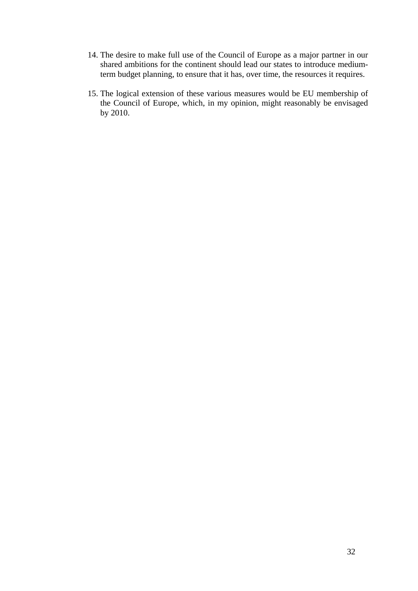- 14. The desire to make full use of the Council of Europe as a major partner in our shared ambitions for the continent should lead our states to introduce mediumterm budget planning, to ensure that it has, over time, the resources it requires.
- 15. The logical extension of these various measures would be EU membership of the Council of Europe, which, in my opinion, might reasonably be envisaged by 2010.